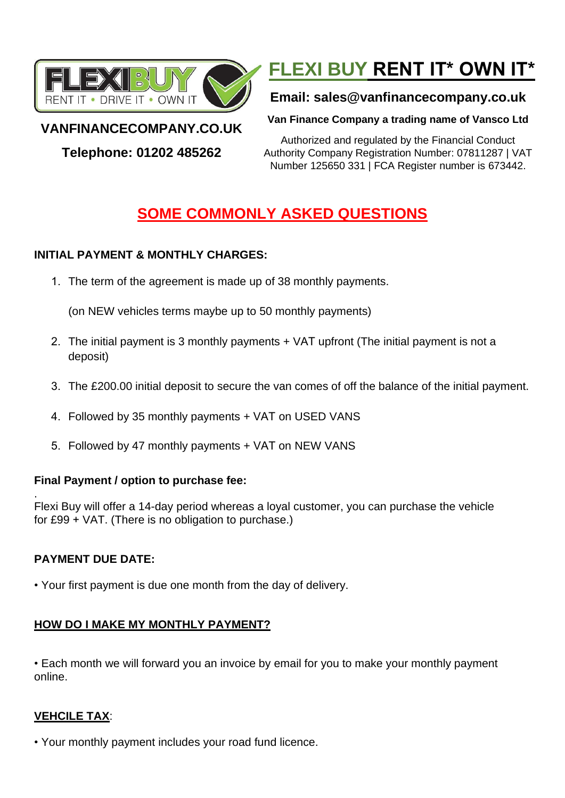

# **FLEXI BUY RENT IT\* OWN IT\***

# **Email: sales@vanfinancecompany.co.uk**

**Van Finance Company a trading name of Vansco Ltd**

# **VANFINANCECOMPANY.CO.UK**

**Telephone: 01202 485262**

Authorized and regulated by the Financial Conduct Authority Company Registration Number: 07811287 | VAT Number 125650 331 | FCA Register number is 673442.

# **SOME COMMONLY ASKED QUESTIONS**

# **INITIAL PAYMENT & MONTHLY CHARGES:**

1. The term of the agreement is made up of 38 monthly payments.

(on NEW vehicles terms maybe up to 50 monthly payments)

- 2. The initial payment is 3 monthly payments + VAT upfront (The initial payment is not a deposit)
- 3. The £200.00 initial deposit to secure the van comes of off the balance of the initial payment.
- 4. Followed by 35 monthly payments + VAT on USED VANS
- 5. Followed by 47 monthly payments + VAT on NEW VANS

#### **Final Payment / option to purchase fee:**

. Flexi Buy will offer a 14-day period whereas a loyal customer, you can purchase the vehicle for £99 + VAT. (There is no obligation to purchase.)

# **PAYMENT DUE DATE:**

• Your first payment is due one month from the day of delivery.

# **HOW DO I MAKE MY MONTHLY PAYMENT?**

• Each month we will forward you an invoice by email for you to make your monthly payment online.

# **VEHCILE TAX**:

• Your monthly payment includes your road fund licence.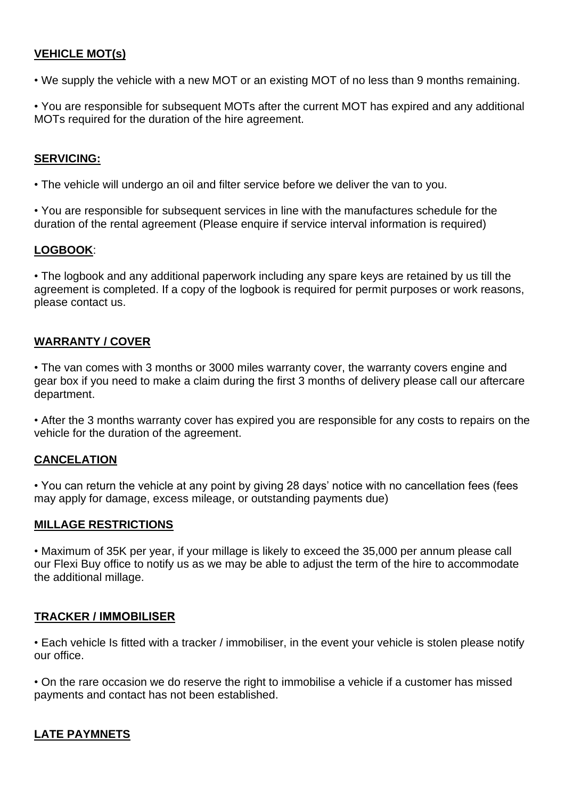#### **VEHICLE MOT(s)**

• We supply the vehicle with a new MOT or an existing MOT of no less than 9 months remaining.

• You are responsible for subsequent MOTs after the current MOT has expired and any additional MOTs required for the duration of the hire agreement.

#### **SERVICING:**

• The vehicle will undergo an oil and filter service before we deliver the van to you.

• You are responsible for subsequent services in line with the manufactures schedule for the duration of the rental agreement (Please enquire if service interval information is required)

#### **LOGBOOK**:

• The logbook and any additional paperwork including any spare keys are retained by us till the agreement is completed. If a copy of the logbook is required for permit purposes or work reasons, please contact us.

#### **WARRANTY / COVER**

• The van comes with 3 months or 3000 miles warranty cover, the warranty covers engine and gear box if you need to make a claim during the first 3 months of delivery please call our aftercare department.

• After the 3 months warranty cover has expired you are responsible for any costs to repairs on the vehicle for the duration of the agreement.

#### **CANCELATION**

• You can return the vehicle at any point by giving 28 days' notice with no cancellation fees (fees may apply for damage, excess mileage, or outstanding payments due)

#### **MILLAGE RESTRICTIONS**

• Maximum of 35K per year, if your millage is likely to exceed the 35,000 per annum please call our Flexi Buy office to notify us as we may be able to adjust the term of the hire to accommodate the additional millage.

#### **TRACKER / IMMOBILISER**

• Each vehicle Is fitted with a tracker / immobiliser, in the event your vehicle is stolen please notify our office.

• On the rare occasion we do reserve the right to immobilise a vehicle if a customer has missed payments and contact has not been established.

#### **LATE PAYMNETS**